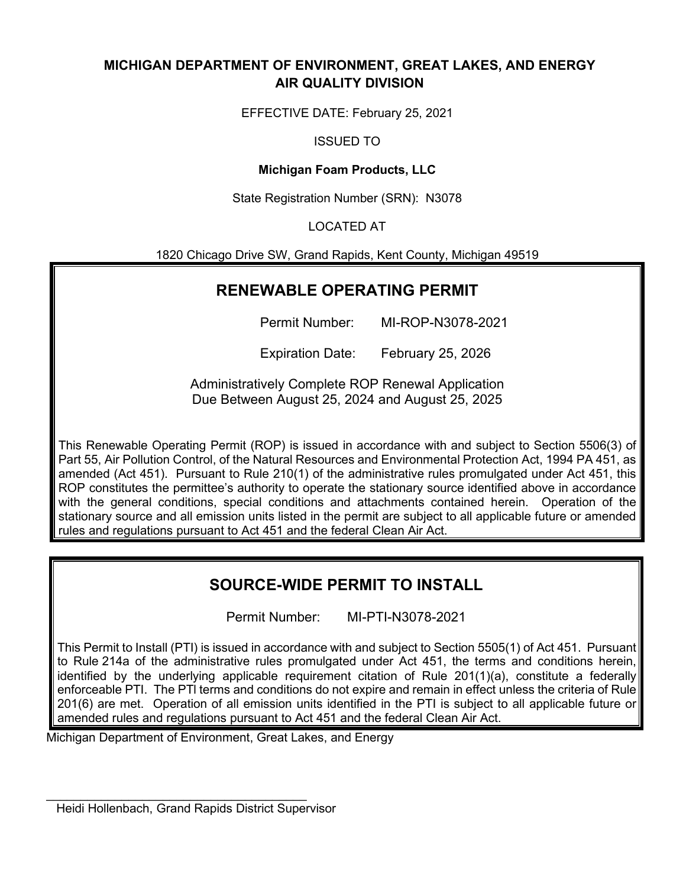# **MICHIGAN DEPARTMENT OF ENVIRONMENT, GREAT LAKES, AND ENERGY AIR QUALITY DIVISION**

EFFECTIVE DATE: February 25, 2021

ISSUED TO

# **Michigan Foam Products, LLC**

State Registration Number (SRN): N3078

# LOCATED AT

1820 Chicago Drive SW, Grand Rapids, Kent County, Michigan 49519

# **RENEWABLE OPERATING PERMIT**

Permit Number: MI-ROP-N3078-2021

Expiration Date: February 25, 2026

Administratively Complete ROP Renewal Application Due Between August 25, 2024 and August 25, 2025

This Renewable Operating Permit (ROP) is issued in accordance with and subject to Section 5506(3) of Part 55, Air Pollution Control, of the Natural Resources and Environmental Protection Act, 1994 PA 451, as amended (Act 451). Pursuant to Rule 210(1) of the administrative rules promulgated under Act 451, this ROP constitutes the permittee's authority to operate the stationary source identified above in accordance with the general conditions, special conditions and attachments contained herein. Operation of the stationary source and all emission units listed in the permit are subject to all applicable future or amended rules and regulations pursuant to Act 451 and the federal Clean Air Act.

# **SOURCE-WIDE PERMIT TO INSTALL**

Permit Number: MI-PTI-N3078-2021

This Permit to Install (PTI) is issued in accordance with and subject to Section 5505(1) of Act 451. Pursuant to Rule 214a of the administrative rules promulgated under Act 451, the terms and conditions herein, identified by the underlying applicable requirement citation of Rule 201(1)(a), constitute a federally enforceable PTI. The PTl terms and conditions do not expire and remain in effect unless the criteria of Rule 201(6) are met. Operation of all emission units identified in the PTI is subject to all applicable future or amended rules and regulations pursuant to Act 451 and the federal Clean Air Act.

Michigan Department of Environment, Great Lakes, and Energy

\_\_\_\_\_\_\_\_\_\_\_\_\_\_\_\_\_\_\_\_\_\_\_\_\_\_\_\_\_\_\_\_\_\_\_\_\_\_ Heidi Hollenbach, Grand Rapids District Supervisor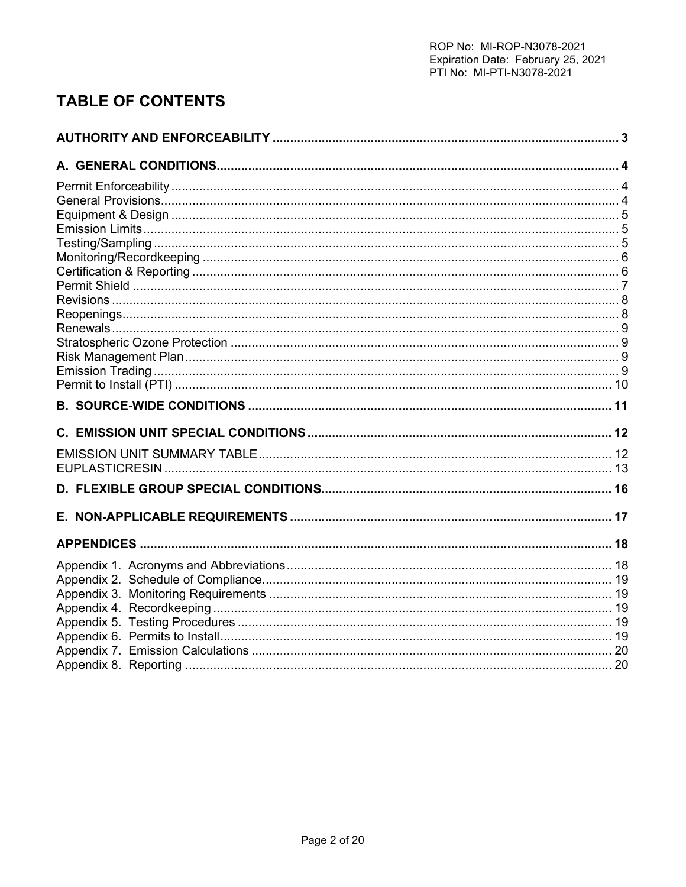# **TABLE OF CONTENTS**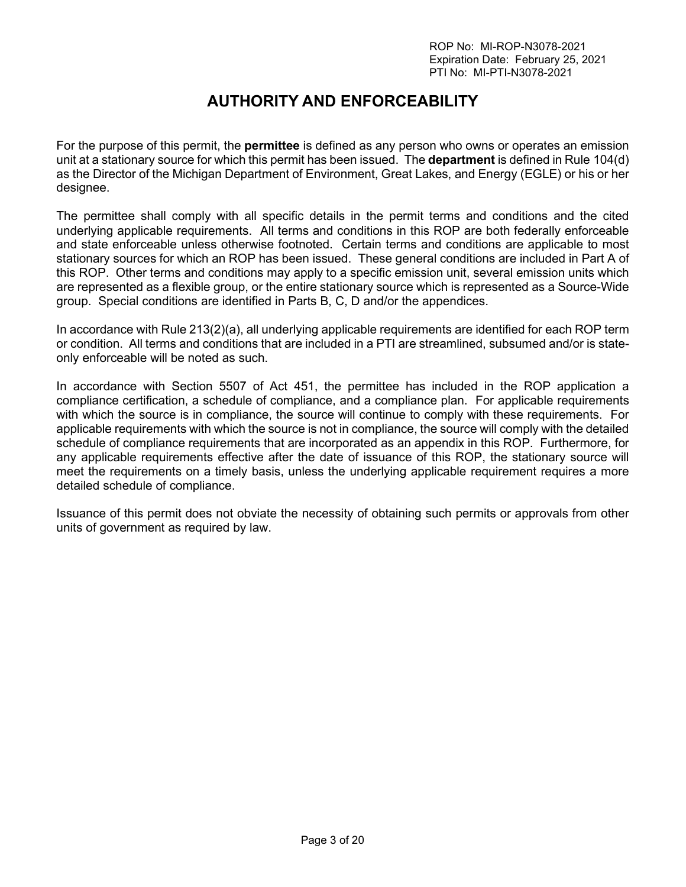# **AUTHORITY AND ENFORCEABILITY**

<span id="page-2-0"></span>For the purpose of this permit, the **permittee** is defined as any person who owns or operates an emission unit at a stationary source for which this permit has been issued. The **department** is defined in Rule 104(d) as the Director of the Michigan Department of Environment, Great Lakes, and Energy (EGLE) or his or her designee.

The permittee shall comply with all specific details in the permit terms and conditions and the cited underlying applicable requirements. All terms and conditions in this ROP are both federally enforceable and state enforceable unless otherwise footnoted. Certain terms and conditions are applicable to most stationary sources for which an ROP has been issued. These general conditions are included in Part A of this ROP. Other terms and conditions may apply to a specific emission unit, several emission units which are represented as a flexible group, or the entire stationary source which is represented as a Source-Wide group. Special conditions are identified in Parts B, C, D and/or the appendices.

In accordance with Rule 213(2)(a), all underlying applicable requirements are identified for each ROP term or condition. All terms and conditions that are included in a PTI are streamlined, subsumed and/or is stateonly enforceable will be noted as such.

In accordance with Section 5507 of Act 451, the permittee has included in the ROP application a compliance certification, a schedule of compliance, and a compliance plan. For applicable requirements with which the source is in compliance, the source will continue to comply with these requirements. For applicable requirements with which the source is not in compliance, the source will comply with the detailed schedule of compliance requirements that are incorporated as an appendix in this ROP. Furthermore, for any applicable requirements effective after the date of issuance of this ROP, the stationary source will meet the requirements on a timely basis, unless the underlying applicable requirement requires a more detailed schedule of compliance.

Issuance of this permit does not obviate the necessity of obtaining such permits or approvals from other units of government as required by law.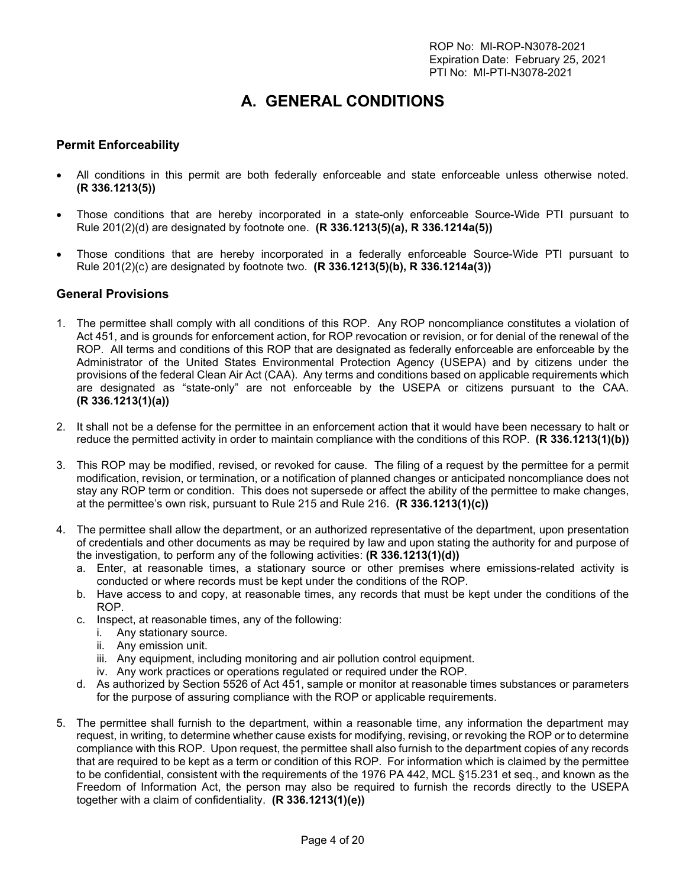# **A. GENERAL CONDITIONS**

### <span id="page-3-1"></span><span id="page-3-0"></span>**Permit Enforceability**

- All conditions in this permit are both federally enforceable and state enforceable unless otherwise noted. **(R 336.1213(5))**
- Those conditions that are hereby incorporated in a state-only enforceable Source-Wide PTI pursuant to Rule 201(2)(d) are designated by footnote one. **(R 336.1213(5)(a), R 336.1214a(5))**
- Those conditions that are hereby incorporated in a federally enforceable Source-Wide PTI pursuant to Rule 201(2)(c) are designated by footnote two. **(R 336.1213(5)(b), R 336.1214a(3))**

#### <span id="page-3-2"></span>**General Provisions**

- 1. The permittee shall comply with all conditions of this ROP. Any ROP noncompliance constitutes a violation of Act 451, and is grounds for enforcement action, for ROP revocation or revision, or for denial of the renewal of the ROP. All terms and conditions of this ROP that are designated as federally enforceable are enforceable by the Administrator of the United States Environmental Protection Agency (USEPA) and by citizens under the provisions of the federal Clean Air Act (CAA). Any terms and conditions based on applicable requirements which are designated as "state-only" are not enforceable by the USEPA or citizens pursuant to the CAA. **(R 336.1213(1)(a))**
- 2. It shall not be a defense for the permittee in an enforcement action that it would have been necessary to halt or reduce the permitted activity in order to maintain compliance with the conditions of this ROP. **(R 336.1213(1)(b))**
- 3. This ROP may be modified, revised, or revoked for cause. The filing of a request by the permittee for a permit modification, revision, or termination, or a notification of planned changes or anticipated noncompliance does not stay any ROP term or condition. This does not supersede or affect the ability of the permittee to make changes, at the permittee's own risk, pursuant to Rule 215 and Rule 216. **(R 336.1213(1)(c))**
- 4. The permittee shall allow the department, or an authorized representative of the department, upon presentation of credentials and other documents as may be required by law and upon stating the authority for and purpose of the investigation, to perform any of the following activities: **(R 336.1213(1)(d))**
	- a. Enter, at reasonable times, a stationary source or other premises where emissions-related activity is conducted or where records must be kept under the conditions of the ROP.
	- b. Have access to and copy, at reasonable times, any records that must be kept under the conditions of the ROP.
	- c. Inspect, at reasonable times, any of the following:
		- i. Any stationary source.
		- ii. Any emission unit.
		- iii. Any equipment, including monitoring and air pollution control equipment.
		- iv. Any work practices or operations regulated or required under the ROP.
	- d. As authorized by Section 5526 of Act 451, sample or monitor at reasonable times substances or parameters for the purpose of assuring compliance with the ROP or applicable requirements.
- 5. The permittee shall furnish to the department, within a reasonable time, any information the department may request, in writing, to determine whether cause exists for modifying, revising, or revoking the ROP or to determine compliance with this ROP. Upon request, the permittee shall also furnish to the department copies of any records that are required to be kept as a term or condition of this ROP. For information which is claimed by the permittee to be confidential, consistent with the requirements of the 1976 PA 442, MCL §15.231 et seq., and known as the Freedom of Information Act, the person may also be required to furnish the records directly to the USEPA together with a claim of confidentiality. **(R 336.1213(1)(e))**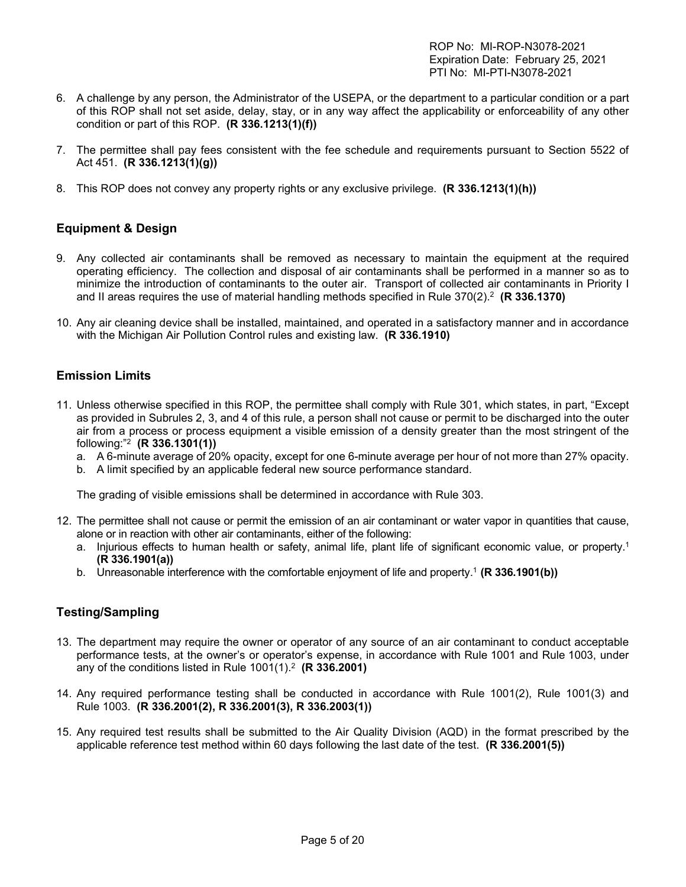- 6. A challenge by any person, the Administrator of the USEPA, or the department to a particular condition or a part of this ROP shall not set aside, delay, stay, or in any way affect the applicability or enforceability of any other condition or part of this ROP. **(R 336.1213(1)(f))**
- 7. The permittee shall pay fees consistent with the fee schedule and requirements pursuant to Section 5522 of Act 451. **(R 336.1213(1)(g))**
- 8. This ROP does not convey any property rights or any exclusive privilege. **(R 336.1213(1)(h))**

## <span id="page-4-0"></span>**Equipment & Design**

- 9. Any collected air contaminants shall be removed as necessary to maintain the equipment at the required operating efficiency. The collection and disposal of air contaminants shall be performed in a manner so as to minimize the introduction of contaminants to the outer air. Transport of collected air contaminants in Priority I and II areas requires the use of material handling methods specified in Rule 370(2).2 **(R 336.1370)**
- 10. Any air cleaning device shall be installed, maintained, and operated in a satisfactory manner and in accordance with the Michigan Air Pollution Control rules and existing law. **(R 336.1910)**

#### <span id="page-4-1"></span>**Emission Limits**

- 11. Unless otherwise specified in this ROP, the permittee shall comply with Rule 301, which states, in part, "Except as provided in Subrules 2, 3, and 4 of this rule, a person shall not cause or permit to be discharged into the outer air from a process or process equipment a visible emission of a density greater than the most stringent of the following:"2 **(R 336.1301(1))**
	- a. A 6-minute average of 20% opacity, except for one 6-minute average per hour of not more than 27% opacity.
	- b. A limit specified by an applicable federal new source performance standard.

The grading of visible emissions shall be determined in accordance with Rule 303.

- 12. The permittee shall not cause or permit the emission of an air contaminant or water vapor in quantities that cause, alone or in reaction with other air contaminants, either of the following:
	- a. Injurious effects to human health or safety, animal life, plant life of significant economic value, or property.1 **(R 336.1901(a))**
	- b. Unreasonable interference with the comfortable enjoyment of life and property. <sup>1</sup> **(R 336.1901(b))**

## <span id="page-4-2"></span>**Testing/Sampling**

- 13. The department may require the owner or operator of any source of an air contaminant to conduct acceptable performance tests, at the owner's or operator's expense, in accordance with Rule 1001 and Rule 1003, under any of the conditions listed in Rule 1001(1).2 **(R 336.2001)**
- 14. Any required performance testing shall be conducted in accordance with Rule 1001(2), Rule 1001(3) and Rule 1003. **(R 336.2001(2), R 336.2001(3), R 336.2003(1))**
- 15. Any required test results shall be submitted to the Air Quality Division (AQD) in the format prescribed by the applicable reference test method within 60 days following the last date of the test. **(R 336.2001(5))**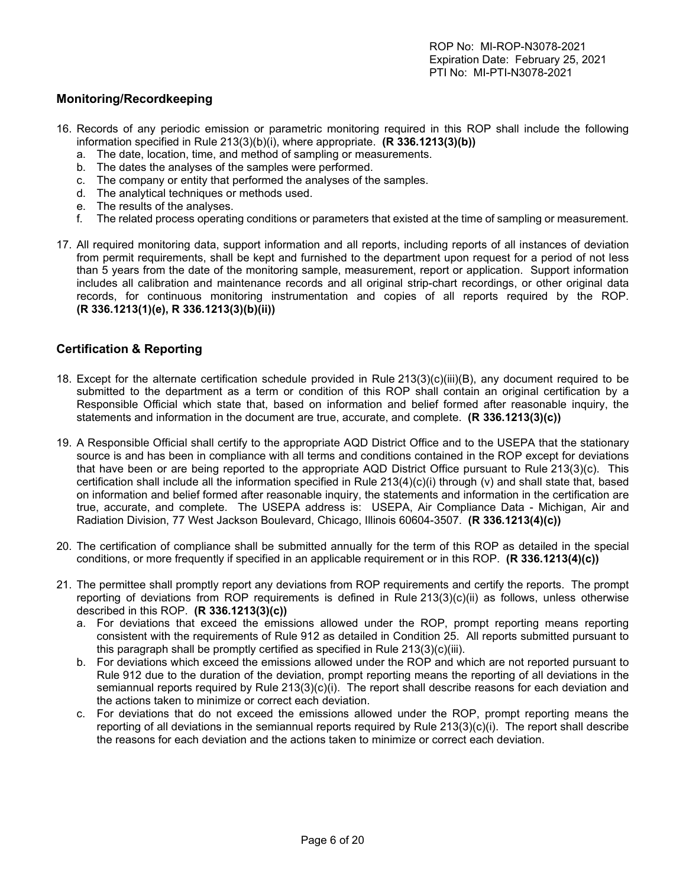### <span id="page-5-0"></span>**Monitoring/Recordkeeping**

- 16. Records of any periodic emission or parametric monitoring required in this ROP shall include the following information specified in Rule 213(3)(b)(i), where appropriate. **(R 336.1213(3)(b))**
	- a. The date, location, time, and method of sampling or measurements.
	- b. The dates the analyses of the samples were performed.
	- c. The company or entity that performed the analyses of the samples.
	- d. The analytical techniques or methods used.
	- e. The results of the analyses.
	- f. The related process operating conditions or parameters that existed at the time of sampling or measurement.
- 17. All required monitoring data, support information and all reports, including reports of all instances of deviation from permit requirements, shall be kept and furnished to the department upon request for a period of not less than 5 years from the date of the monitoring sample, measurement, report or application. Support information includes all calibration and maintenance records and all original strip-chart recordings, or other original data records, for continuous monitoring instrumentation and copies of all reports required by the ROP. **(R 336.1213(1)(e), R 336.1213(3)(b)(ii))**

#### <span id="page-5-1"></span>**Certification & Reporting**

- 18. Except for the alternate certification schedule provided in Rule 213(3)(c)(iii)(B), any document required to be submitted to the department as a term or condition of this ROP shall contain an original certification by a Responsible Official which state that, based on information and belief formed after reasonable inquiry, the statements and information in the document are true, accurate, and complete. **(R 336.1213(3)(c))**
- 19. A Responsible Official shall certify to the appropriate AQD District Office and to the USEPA that the stationary source is and has been in compliance with all terms and conditions contained in the ROP except for deviations that have been or are being reported to the appropriate AQD District Office pursuant to Rule 213(3)(c). This certification shall include all the information specified in Rule 213(4)(c)(i) through (v) and shall state that, based on information and belief formed after reasonable inquiry, the statements and information in the certification are true, accurate, and complete. The USEPA address is: USEPA, Air Compliance Data - Michigan, Air and Radiation Division, 77 West Jackson Boulevard, Chicago, Illinois 60604-3507. **(R 336.1213(4)(c))**
- 20. The certification of compliance shall be submitted annually for the term of this ROP as detailed in the special conditions, or more frequently if specified in an applicable requirement or in this ROP. **(R 336.1213(4)(c))**
- 21. The permittee shall promptly report any deviations from ROP requirements and certify the reports. The prompt reporting of deviations from ROP requirements is defined in Rule 213(3)(c)(ii) as follows, unless otherwise described in this ROP. **(R 336.1213(3)(c))**
	- a. For deviations that exceed the emissions allowed under the ROP, prompt reporting means reporting consistent with the requirements of Rule 912 as detailed in Condition 25. All reports submitted pursuant to this paragraph shall be promptly certified as specified in Rule 213(3)(c)(iii).
	- b. For deviations which exceed the emissions allowed under the ROP and which are not reported pursuant to Rule 912 due to the duration of the deviation, prompt reporting means the reporting of all deviations in the semiannual reports required by Rule 213(3)(c)(i). The report shall describe reasons for each deviation and the actions taken to minimize or correct each deviation.
	- c. For deviations that do not exceed the emissions allowed under the ROP, prompt reporting means the reporting of all deviations in the semiannual reports required by Rule 213(3)(c)(i). The report shall describe the reasons for each deviation and the actions taken to minimize or correct each deviation.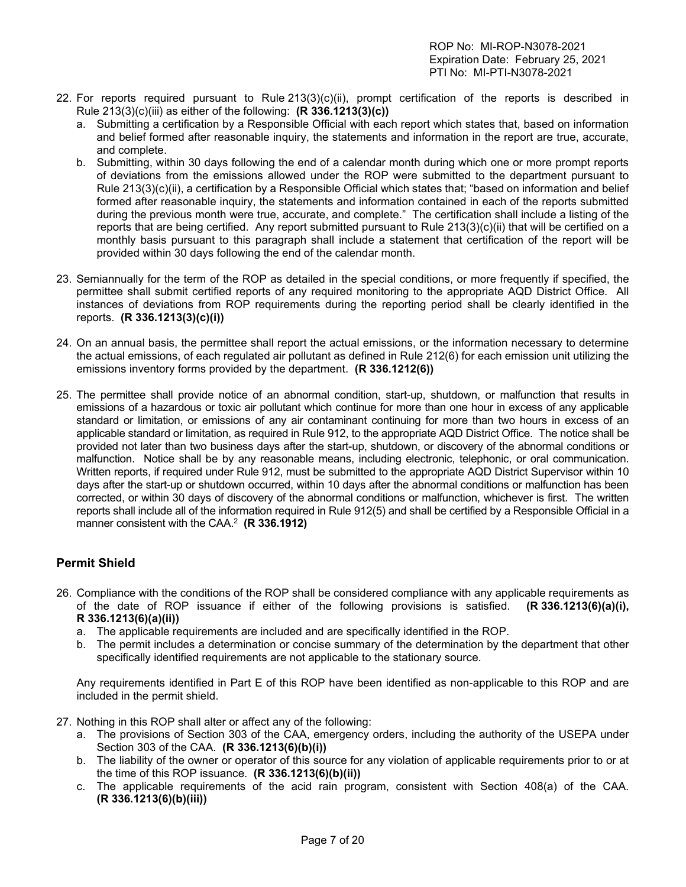- 22. For reports required pursuant to Rule 213(3)(c)(ii), prompt certification of the reports is described in Rule 213(3)(c)(iii) as either of the following: **(R 336.1213(3)(c))**
	- a. Submitting a certification by a Responsible Official with each report which states that, based on information and belief formed after reasonable inquiry, the statements and information in the report are true, accurate, and complete.
	- b. Submitting, within 30 days following the end of a calendar month during which one or more prompt reports of deviations from the emissions allowed under the ROP were submitted to the department pursuant to Rule 213(3)(c)(ii), a certification by a Responsible Official which states that; "based on information and belief formed after reasonable inquiry, the statements and information contained in each of the reports submitted during the previous month were true, accurate, and complete." The certification shall include a listing of the reports that are being certified. Any report submitted pursuant to Rule 213(3)(c)(ii) that will be certified on a monthly basis pursuant to this paragraph shall include a statement that certification of the report will be provided within 30 days following the end of the calendar month.
- 23. Semiannually for the term of the ROP as detailed in the special conditions, or more frequently if specified, the permittee shall submit certified reports of any required monitoring to the appropriate AQD District Office. All instances of deviations from ROP requirements during the reporting period shall be clearly identified in the reports. **(R 336.1213(3)(c)(i))**
- 24. On an annual basis, the permittee shall report the actual emissions, or the information necessary to determine the actual emissions, of each regulated air pollutant as defined in Rule 212(6) for each emission unit utilizing the emissions inventory forms provided by the department. **(R 336.1212(6))**
- 25. The permittee shall provide notice of an abnormal condition, start-up, shutdown, or malfunction that results in emissions of a hazardous or toxic air pollutant which continue for more than one hour in excess of any applicable standard or limitation, or emissions of any air contaminant continuing for more than two hours in excess of an applicable standard or limitation, as required in Rule 912, to the appropriate AQD District Office. The notice shall be provided not later than two business days after the start-up, shutdown, or discovery of the abnormal conditions or malfunction. Notice shall be by any reasonable means, including electronic, telephonic, or oral communication. Written reports, if required under Rule 912, must be submitted to the appropriate AQD District Supervisor within 10 days after the start-up or shutdown occurred, within 10 days after the abnormal conditions or malfunction has been corrected, or within 30 days of discovery of the abnormal conditions or malfunction, whichever is first. The written reports shall include all of the information required in Rule 912(5) and shall be certified by a Responsible Official in a manner consistent with the CAA.2 **(R 336.1912)**

### <span id="page-6-0"></span>**Permit Shield**

- 26. Compliance with the conditions of the ROP shall be considered compliance with any applicable requirements as of the date of ROP issuance if either of the following provisions is satisfied. **(R 336.1213(6)(a)(i), R 336.1213(6)(a)(ii))**
	- a. The applicable requirements are included and are specifically identified in the ROP.
	- b. The permit includes a determination or concise summary of the determination by the department that other specifically identified requirements are not applicable to the stationary source.

Any requirements identified in Part E of this ROP have been identified as non-applicable to this ROP and are included in the permit shield.

- 27. Nothing in this ROP shall alter or affect any of the following:
	- a. The provisions of Section 303 of the CAA, emergency orders, including the authority of the USEPA under Section 303 of the CAA. **(R 336.1213(6)(b)(i))**
	- b. The liability of the owner or operator of this source for any violation of applicable requirements prior to or at the time of this ROP issuance. **(R 336.1213(6)(b)(ii))**
	- c. The applicable requirements of the acid rain program, consistent with Section 408(a) of the CAA. **(R 336.1213(6)(b)(iii))**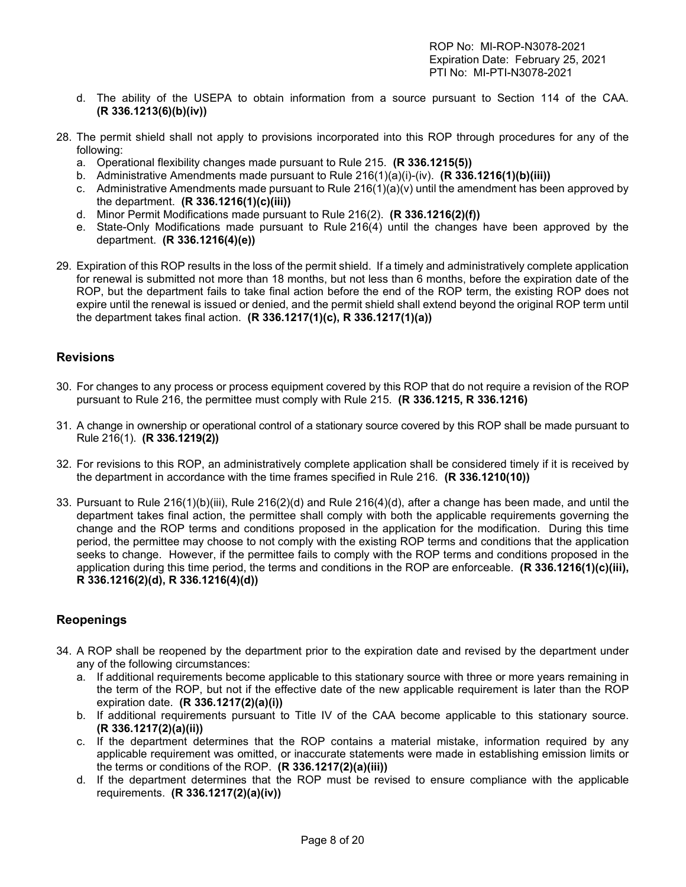- d. The ability of the USEPA to obtain information from a source pursuant to Section 114 of the CAA. **(R 336.1213(6)(b)(iv))**
- 28. The permit shield shall not apply to provisions incorporated into this ROP through procedures for any of the following:
	- a. Operational flexibility changes made pursuant to Rule 215. **(R 336.1215(5))**
	- b. Administrative Amendments made pursuant to Rule 216(1)(a)(i)-(iv). **(R 336.1216(1)(b)(iii))**
	- c. Administrative Amendments made pursuant to Rule  $216(1)(a)(v)$  until the amendment has been approved by the department. **(R 336.1216(1)(c)(iii))**
	- d. Minor Permit Modifications made pursuant to Rule 216(2). **(R 336.1216(2)(f))**
	- e. State-Only Modifications made pursuant to Rule 216(4) until the changes have been approved by the department. **(R 336.1216(4)(e))**
- 29. Expiration of this ROP results in the loss of the permit shield. If a timely and administratively complete application for renewal is submitted not more than 18 months, but not less than 6 months, before the expiration date of the ROP, but the department fails to take final action before the end of the ROP term, the existing ROP does not expire until the renewal is issued or denied, and the permit shield shall extend beyond the original ROP term until the department takes final action. **(R 336.1217(1)(c), R 336.1217(1)(a))**

#### <span id="page-7-0"></span>**Revisions**

- 30. For changes to any process or process equipment covered by this ROP that do not require a revision of the ROP pursuant to Rule 216, the permittee must comply with Rule 215. **(R 336.1215, R 336.1216)**
- 31. A change in ownership or operational control of a stationary source covered by this ROP shall be made pursuant to Rule 216(1). **(R 336.1219(2))**
- 32. For revisions to this ROP, an administratively complete application shall be considered timely if it is received by the department in accordance with the time frames specified in Rule 216. **(R 336.1210(10))**
- 33. Pursuant to Rule 216(1)(b)(iii), Rule 216(2)(d) and Rule 216(4)(d), after a change has been made, and until the department takes final action, the permittee shall comply with both the applicable requirements governing the change and the ROP terms and conditions proposed in the application for the modification. During this time period, the permittee may choose to not comply with the existing ROP terms and conditions that the application seeks to change. However, if the permittee fails to comply with the ROP terms and conditions proposed in the application during this time period, the terms and conditions in the ROP are enforceable. **(R 336.1216(1)(c)(iii), R 336.1216(2)(d), R 336.1216(4)(d))**

### <span id="page-7-1"></span>**Reopenings**

- 34. A ROP shall be reopened by the department prior to the expiration date and revised by the department under any of the following circumstances:
	- a. If additional requirements become applicable to this stationary source with three or more years remaining in the term of the ROP, but not if the effective date of the new applicable requirement is later than the ROP expiration date. **(R 336.1217(2)(a)(i))**
	- b. If additional requirements pursuant to Title IV of the CAA become applicable to this stationary source. **(R 336.1217(2)(a)(ii))**
	- c. If the department determines that the ROP contains a material mistake, information required by any applicable requirement was omitted, or inaccurate statements were made in establishing emission limits or the terms or conditions of the ROP. **(R 336.1217(2)(a)(iii))**
	- d. If the department determines that the ROP must be revised to ensure compliance with the applicable requirements. **(R 336.1217(2)(a)(iv))**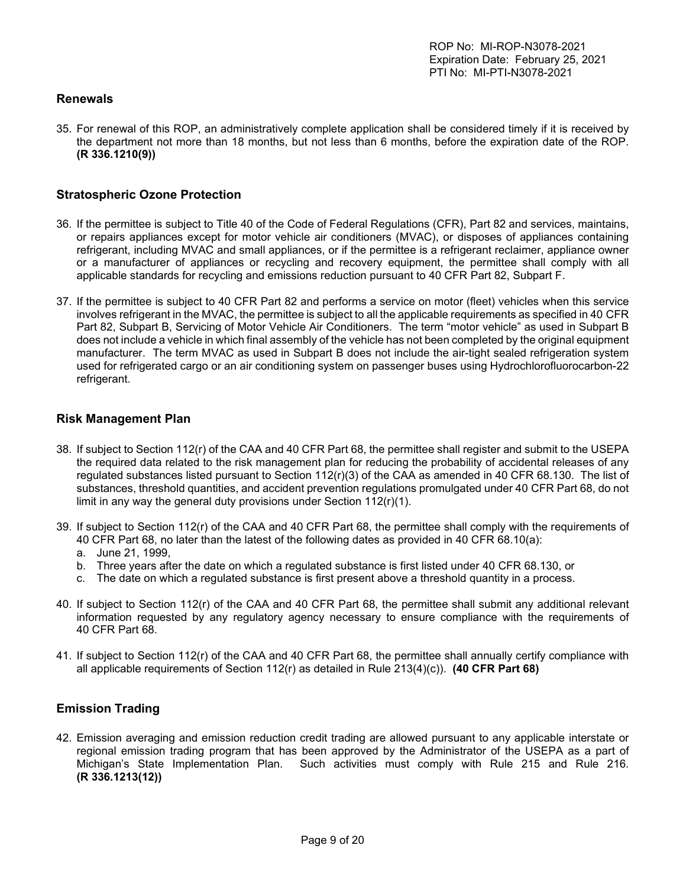#### <span id="page-8-0"></span>**Renewals**

35. For renewal of this ROP, an administratively complete application shall be considered timely if it is received by the department not more than 18 months, but not less than 6 months, before the expiration date of the ROP. **(R 336.1210(9))**

#### <span id="page-8-1"></span>**Stratospheric Ozone Protection**

- 36. If the permittee is subject to Title 40 of the Code of Federal Regulations (CFR), Part 82 and services, maintains, or repairs appliances except for motor vehicle air conditioners (MVAC), or disposes of appliances containing refrigerant, including MVAC and small appliances, or if the permittee is a refrigerant reclaimer, appliance owner or a manufacturer of appliances or recycling and recovery equipment, the permittee shall comply with all applicable standards for recycling and emissions reduction pursuant to 40 CFR Part 82, Subpart F.
- 37. If the permittee is subject to 40 CFR Part 82 and performs a service on motor (fleet) vehicles when this service involves refrigerant in the MVAC, the permittee is subject to all the applicable requirements as specified in 40 CFR Part 82, Subpart B, Servicing of Motor Vehicle Air Conditioners. The term "motor vehicle" as used in Subpart B does not include a vehicle in which final assembly of the vehicle has not been completed by the original equipment manufacturer. The term MVAC as used in Subpart B does not include the air-tight sealed refrigeration system used for refrigerated cargo or an air conditioning system on passenger buses using Hydrochlorofluorocarbon-22 refrigerant.

#### <span id="page-8-2"></span>**Risk Management Plan**

- 38. If subject to Section 112(r) of the CAA and 40 CFR Part 68, the permittee shall register and submit to the USEPA the required data related to the risk management plan for reducing the probability of accidental releases of any regulated substances listed pursuant to Section 112(r)(3) of the CAA as amended in 40 CFR 68.130. The list of substances, threshold quantities, and accident prevention regulations promulgated under 40 CFR Part 68, do not limit in any way the general duty provisions under Section 112(r)(1).
- 39. If subject to Section 112(r) of the CAA and 40 CFR Part 68, the permittee shall comply with the requirements of 40 CFR Part 68, no later than the latest of the following dates as provided in 40 CFR 68.10(a):
	- a. June 21, 1999,
	- b. Three years after the date on which a regulated substance is first listed under 40 CFR 68.130, or
	- c. The date on which a regulated substance is first present above a threshold quantity in a process.
- 40. If subject to Section 112(r) of the CAA and 40 CFR Part 68, the permittee shall submit any additional relevant information requested by any regulatory agency necessary to ensure compliance with the requirements of 40 CFR Part 68.
- 41. If subject to Section 112(r) of the CAA and 40 CFR Part 68, the permittee shall annually certify compliance with all applicable requirements of Section 112(r) as detailed in Rule 213(4)(c)). **(40 CFR Part 68)**

#### <span id="page-8-3"></span>**Emission Trading**

42. Emission averaging and emission reduction credit trading are allowed pursuant to any applicable interstate or regional emission trading program that has been approved by the Administrator of the USEPA as a part of Michigan's State Implementation Plan. Such activities must comply with Rule 215 and Rule 216. **(R 336.1213(12))**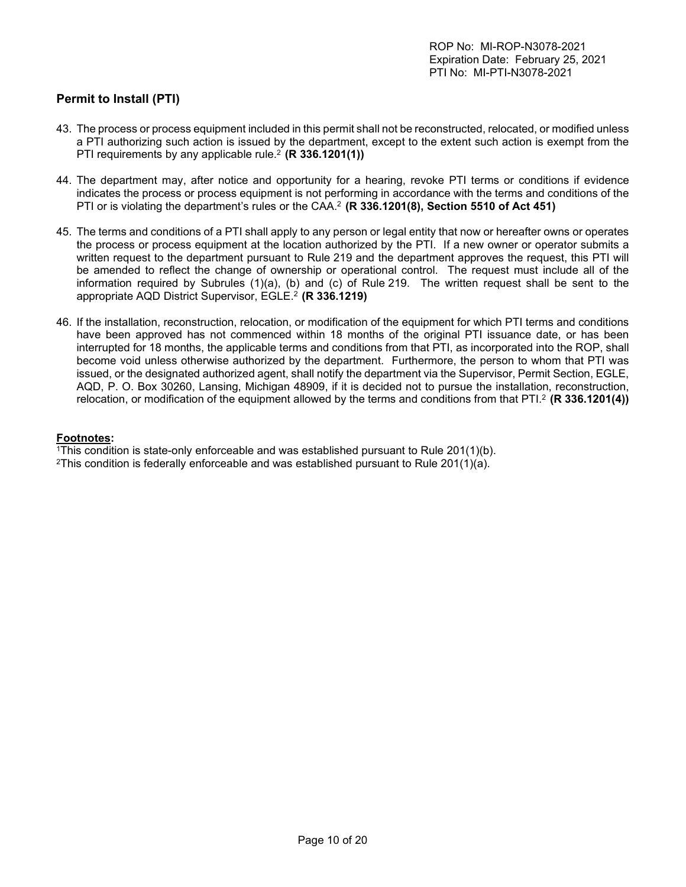## <span id="page-9-0"></span>**Permit to Install (PTI)**

- 43. The process or process equipment included in this permit shall not be reconstructed, relocated, or modified unless a PTI authorizing such action is issued by the department, except to the extent such action is exempt from the PTI requirements by any applicable rule.2 **(R 336.1201(1))**
- 44. The department may, after notice and opportunity for a hearing, revoke PTI terms or conditions if evidence indicates the process or process equipment is not performing in accordance with the terms and conditions of the PTI or is violating the department's rules or the CAA. <sup>2</sup> **(R 336.1201(8), Section 5510 of Act 451)**
- 45. The terms and conditions of a PTI shall apply to any person or legal entity that now or hereafter owns or operates the process or process equipment at the location authorized by the PTI. If a new owner or operator submits a written request to the department pursuant to Rule 219 and the department approves the request, this PTI will be amended to reflect the change of ownership or operational control. The request must include all of the information required by Subrules (1)(a), (b) and (c) of Rule 219. The written request shall be sent to the appropriate AQD District Supervisor, EGLE. <sup>2</sup> **(R 336.1219)**
- 46. If the installation, reconstruction, relocation, or modification of the equipment for which PTI terms and conditions have been approved has not commenced within 18 months of the original PTI issuance date, or has been interrupted for 18 months, the applicable terms and conditions from that PTI, as incorporated into the ROP, shall become void unless otherwise authorized by the department. Furthermore, the person to whom that PTI was issued, or the designated authorized agent, shall notify the department via the Supervisor, Permit Section, EGLE, AQD, P. O. Box 30260, Lansing, Michigan 48909, if it is decided not to pursue the installation, reconstruction, relocation, or modification of the equipment allowed by the terms and conditions from that PTI.2 **(R 336.1201(4))**

#### **Footnotes:**

1This condition is state-only enforceable and was established pursuant to Rule 201(1)(b).

<sup>2</sup>This condition is federally enforceable and was established pursuant to Rule 201(1)(a).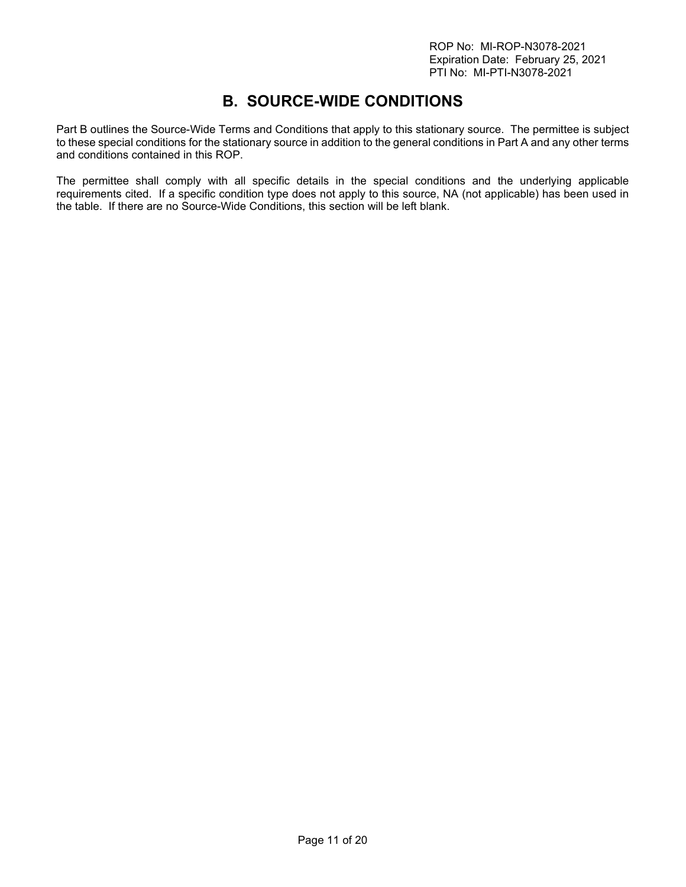# **B. SOURCE-WIDE CONDITIONS**

<span id="page-10-0"></span>Part B outlines the Source-Wide Terms and Conditions that apply to this stationary source. The permittee is subject to these special conditions for the stationary source in addition to the general conditions in Part A and any other terms and conditions contained in this ROP.

The permittee shall comply with all specific details in the special conditions and the underlying applicable requirements cited. If a specific condition type does not apply to this source, NA (not applicable) has been used in the table. If there are no Source-Wide Conditions, this section will be left blank.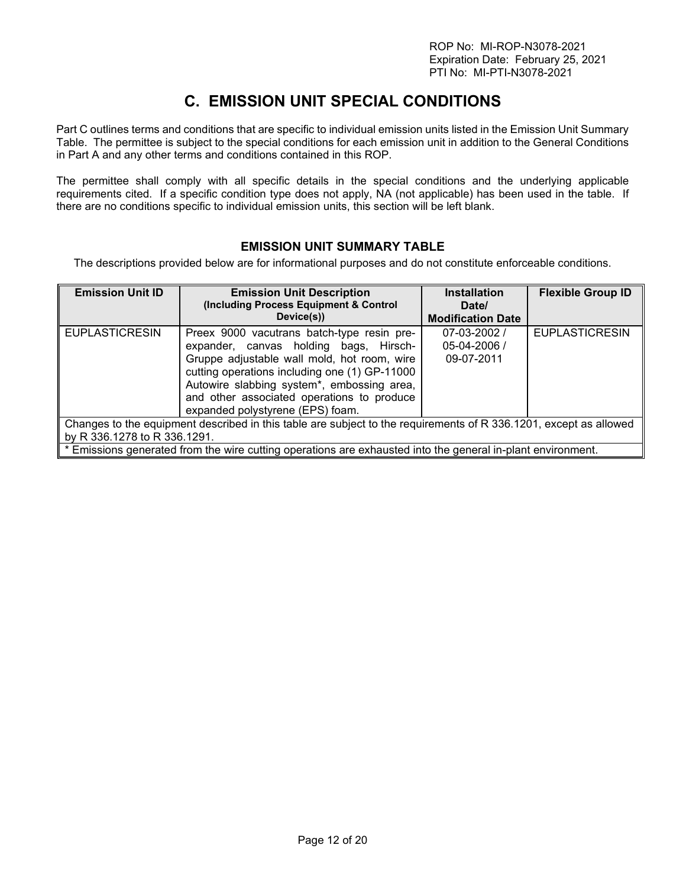# **C. EMISSION UNIT SPECIAL CONDITIONS**

<span id="page-11-0"></span>Part C outlines terms and conditions that are specific to individual emission units listed in the Emission Unit Summary Table. The permittee is subject to the special conditions for each emission unit in addition to the General Conditions in Part A and any other terms and conditions contained in this ROP.

The permittee shall comply with all specific details in the special conditions and the underlying applicable requirements cited. If a specific condition type does not apply, NA (not applicable) has been used in the table. If there are no conditions specific to individual emission units, this section will be left blank.

### **EMISSION UNIT SUMMARY TABLE**

<span id="page-11-1"></span>The descriptions provided below are for informational purposes and do not constitute enforceable conditions.

| <b>Emission Unit ID</b>                                                                                           | <b>Emission Unit Description</b><br>(Including Process Equipment & Control<br>Device(s)) | <b>Installation</b><br>Date/<br><b>Modification Date</b> | <b>Flexible Group ID</b> |
|-------------------------------------------------------------------------------------------------------------------|------------------------------------------------------------------------------------------|----------------------------------------------------------|--------------------------|
|                                                                                                                   |                                                                                          |                                                          |                          |
| <b>EUPLASTICRESIN</b>                                                                                             | Preex 9000 vacutrans batch-type resin pre-                                               | $07 - 03 - 2002/$                                        | <b>EUPLASTICRESIN</b>    |
|                                                                                                                   | expander, canvas holding bags, Hirsch-                                                   | 05-04-2006 /                                             |                          |
|                                                                                                                   | Gruppe adjustable wall mold, hot room, wire                                              | 09-07-2011                                               |                          |
|                                                                                                                   | cutting operations including one (1) GP-11000                                            |                                                          |                          |
|                                                                                                                   | Autowire slabbing system*, embossing area,                                               |                                                          |                          |
|                                                                                                                   | and other associated operations to produce                                               |                                                          |                          |
|                                                                                                                   | expanded polystyrene (EPS) foam.                                                         |                                                          |                          |
| Changes to the equipment described in this table are subject to the requirements of R 336.1201, except as allowed |                                                                                          |                                                          |                          |
| by R 336.1278 to R 336.1291.                                                                                      |                                                                                          |                                                          |                          |
| * Emissions generated from the wire cutting operations are exhausted into the general in-plant environment.       |                                                                                          |                                                          |                          |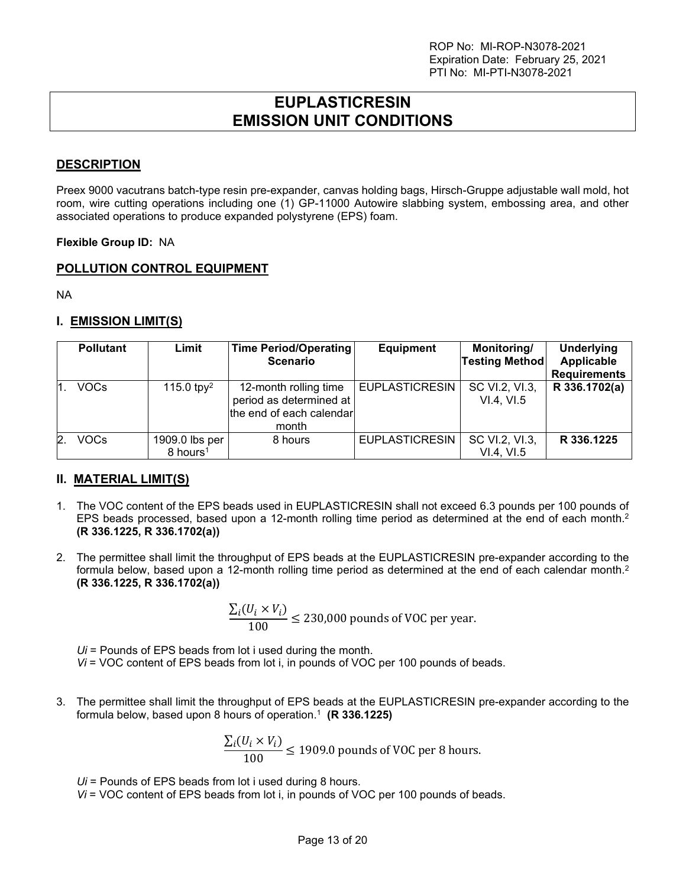# **EUPLASTICRESIN EMISSION UNIT CONDITIONS**

### <span id="page-12-0"></span>**DESCRIPTION**

Preex 9000 vacutrans batch-type resin pre-expander, canvas holding bags, Hirsch-Gruppe adjustable wall mold, hot room, wire cutting operations including one (1) GP-11000 Autowire slabbing system, embossing area, and other associated operations to produce expanded polystyrene (EPS) foam.

#### **Flexible Group ID:** NA

#### **POLLUTION CONTROL EQUIPMENT**

NA

#### **I. EMISSION LIMIT(S)**

|    | <b>Pollutant</b> | Limit                                  | <b>Time Period/Operating</b><br><b>Scenario</b>                                       | <b>Equipment</b>      | Monitoring/<br><b>Testing Method</b> | <b>Underlying</b><br>Applicable<br><b>Requirements</b> |
|----|------------------|----------------------------------------|---------------------------------------------------------------------------------------|-----------------------|--------------------------------------|--------------------------------------------------------|
|    | VOCs             | 115.0 tpy <sup>2</sup>                 | 12-month rolling time<br>period as determined at<br>the end of each calendar<br>month | <b>EUPLASTICRESIN</b> | SC VI.2, VI.3,<br>VI.4, VI.5         | R 336.1702(a)                                          |
| 2. | VOCs             | 1909.0 lbs per<br>8 hours <sup>1</sup> | 8 hours                                                                               | <b>EUPLASTICRESIN</b> | SC VI.2, VI.3,<br>VI.4, VI.5         | R 336.1225                                             |

### **II. MATERIAL LIMIT(S)**

- 1. The VOC content of the EPS beads used in EUPLASTICRESIN shall not exceed 6.3 pounds per 100 pounds of EPS beads processed, based upon a 12-month rolling time period as determined at the end of each month. 2 **(R 336.1225, R 336.1702(a))**
- 2. The permittee shall limit the throughput of EPS beads at the EUPLASTICRESIN pre-expander according to the formula below, based upon a 12-month rolling time period as determined at the end of each calendar month.<sup>2</sup> **(R 336.1225, R 336.1702(a))**

$$
\frac{\sum_{i}(U_i \times V_i)}{100} \le 230,000
$$
 pounds of VOC per year.

*Ui* = Pounds of EPS beads from lot i used during the month. *Vi* = VOC content of EPS beads from lot i, in pounds of VOC per 100 pounds of beads.

3. The permittee shall limit the throughput of EPS beads at the EUPLASTICRESIN pre-expander according to the formula below, based upon 8 hours of operation. 1 **(R 336.1225)**

$$
\frac{\sum_{i}(U_i \times V_i)}{100} \le 1909.0
$$
 pounds of VOC per 8 hours.

*Ui* = Pounds of EPS beads from lot i used during 8 hours.

*Vi* = VOC content of EPS beads from lot i, in pounds of VOC per 100 pounds of beads.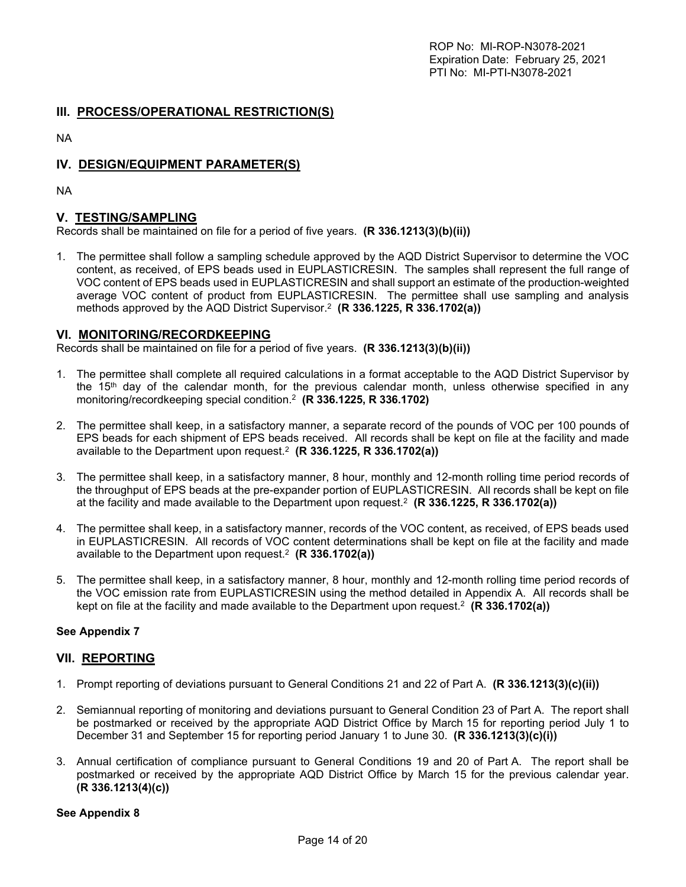#### **III. PROCESS/OPERATIONAL RESTRICTION(S)**

NA

## **IV. DESIGN/EQUIPMENT PARAMETER(S)**

NA

#### **V. TESTING/SAMPLING**

Records shall be maintained on file for a period of five years. **(R 336.1213(3)(b)(ii))**

1. The permittee shall follow a sampling schedule approved by the AQD District Supervisor to determine the VOC content, as received, of EPS beads used in EUPLASTICRESIN. The samples shall represent the full range of VOC content of EPS beads used in EUPLASTICRESIN and shall support an estimate of the production-weighted average VOC content of product from EUPLASTICRESIN. The permittee shall use sampling and analysis methods approved by the AQD District Supervisor.2 **(R 336.1225, R 336.1702(a))**

#### **VI. MONITORING/RECORDKEEPING**

Records shall be maintained on file for a period of five years. **(R 336.1213(3)(b)(ii))**

- 1. The permittee shall complete all required calculations in a format acceptable to the AQD District Supervisor by the 15<sup>th</sup> day of the calendar month, for the previous calendar month, unless otherwise specified in any monitoring/recordkeeping special condition.2 **(R 336.1225, R 336.1702)**
- 2. The permittee shall keep, in a satisfactory manner, a separate record of the pounds of VOC per 100 pounds of EPS beads for each shipment of EPS beads received. All records shall be kept on file at the facility and made available to the Department upon request.2 **(R 336.1225, R 336.1702(a))**
- 3. The permittee shall keep, in a satisfactory manner, 8 hour, monthly and 12-month rolling time period records of the throughput of EPS beads at the pre-expander portion of EUPLASTICRESIN. All records shall be kept on file at the facility and made available to the Department upon request.2 **(R 336.1225, R 336.1702(a))**
- 4. The permittee shall keep, in a satisfactory manner, records of the VOC content, as received, of EPS beads used in EUPLASTICRESIN. All records of VOC content determinations shall be kept on file at the facility and made available to the Department upon request.2 **(R 336.1702(a))**
- 5. The permittee shall keep, in a satisfactory manner, 8 hour, monthly and 12-month rolling time period records of the VOC emission rate from EUPLASTICRESIN using the method detailed in Appendix A. All records shall be kept on file at the facility and made available to the Department upon request.2 **(R 336.1702(a))**

#### **See Appendix 7**

#### **VII. REPORTING**

- 1. Prompt reporting of deviations pursuant to General Conditions 21 and 22 of Part A. **(R 336.1213(3)(c)(ii))**
- 2. Semiannual reporting of monitoring and deviations pursuant to General Condition 23 of Part A. The report shall be postmarked or received by the appropriate AQD District Office by March 15 for reporting period July 1 to December 31 and September 15 for reporting period January 1 to June 30. **(R 336.1213(3)(c)(i))**
- 3. Annual certification of compliance pursuant to General Conditions 19 and 20 of Part A. The report shall be postmarked or received by the appropriate AQD District Office by March 15 for the previous calendar year. **(R 336.1213(4)(c))**

#### **See Appendix 8**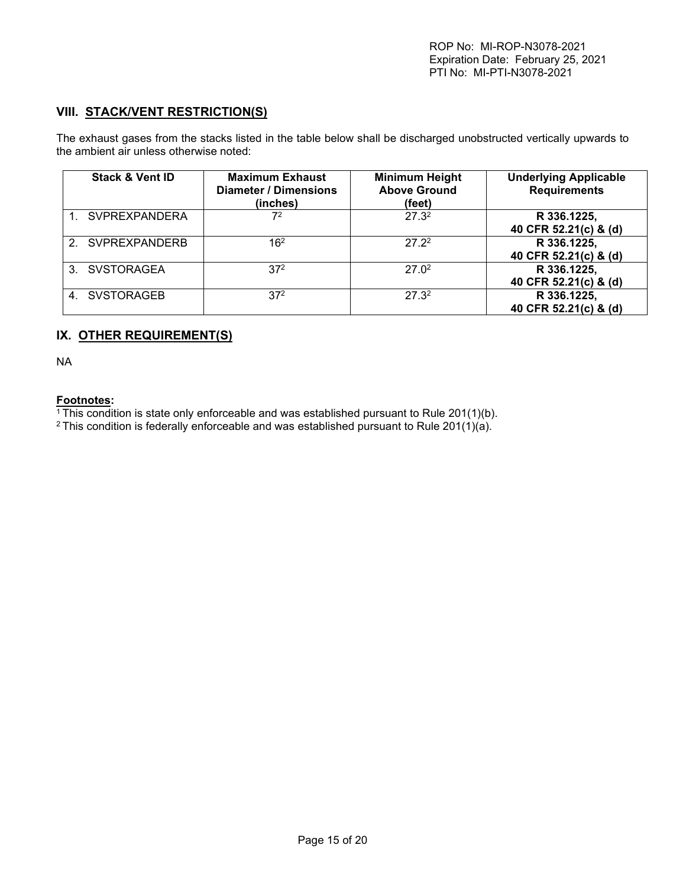# **VIII. STACK/VENT RESTRICTION(S)**

The exhaust gases from the stacks listed in the table below shall be discharged unobstructed vertically upwards to the ambient air unless otherwise noted:

| <b>Stack &amp; Vent ID</b> | <b>Maximum Exhaust</b><br><b>Diameter / Dimensions</b><br>(inches) | <b>Minimum Height</b><br><b>Above Ground</b><br>(feet) | <b>Underlying Applicable</b><br><b>Requirements</b> |
|----------------------------|--------------------------------------------------------------------|--------------------------------------------------------|-----------------------------------------------------|
| 1. SVPREXPANDERA           | 72                                                                 | 27.32                                                  | R 336.1225,<br>40 CFR 52.21(c) & (d)                |
| 2. SVPREXPANDERB           | 16 <sup>2</sup>                                                    | 27.22                                                  | R 336.1225,<br>40 CFR 52.21(c) & (d)                |
| 3. SVSTORAGEA              | 37 <sup>2</sup>                                                    | 27.0 <sup>2</sup>                                      | R 336.1225,<br>40 CFR 52.21(c) & (d)                |
| 4. SVSTORAGEB              | 37 <sup>2</sup>                                                    | 27.3 <sup>2</sup>                                      | R 336.1225,<br>40 CFR 52.21(c) & (d)                |

#### **IX. OTHER REQUIREMENT(S)**

NA

#### **Footnotes:**

 $\frac{1}{1}$ This condition is state only enforceable and was established pursuant to Rule 201(1)(b).

<sup>2</sup> This condition is federally enforceable and was established pursuant to Rule 201(1)(a).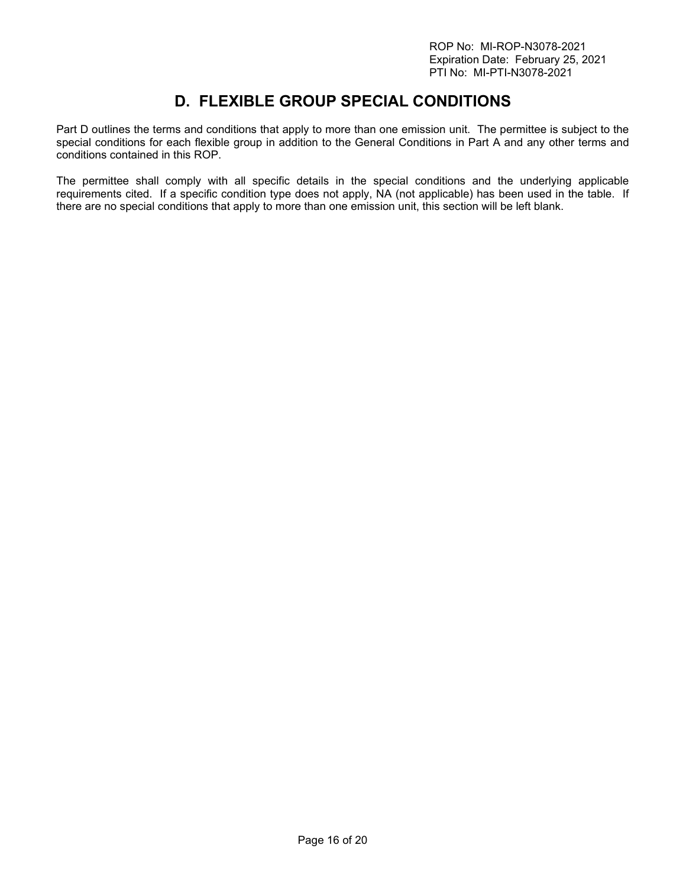# **D. FLEXIBLE GROUP SPECIAL CONDITIONS**

<span id="page-15-0"></span>Part D outlines the terms and conditions that apply to more than one emission unit. The permittee is subject to the special conditions for each flexible group in addition to the General Conditions in Part A and any other terms and conditions contained in this ROP.

The permittee shall comply with all specific details in the special conditions and the underlying applicable requirements cited. If a specific condition type does not apply, NA (not applicable) has been used in the table. If there are no special conditions that apply to more than one emission unit, this section will be left blank.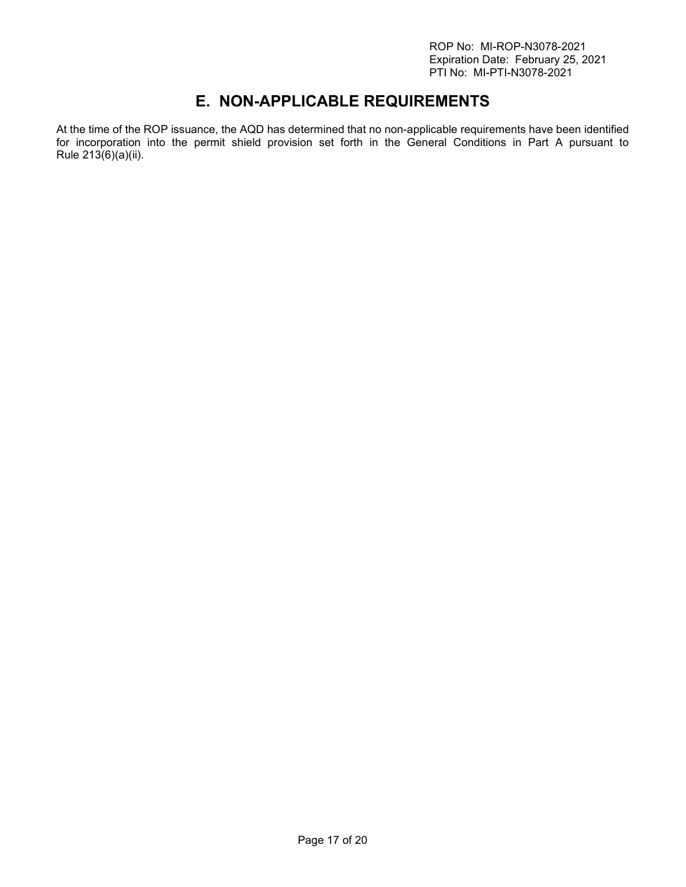ROP No: MI-ROP-N3078-2021 Expiration Date: February 25, 2021 PTI No: MI-PTI-N3078-2021

# **E. NON-APPLICABLE REQUIREMENTS**

<span id="page-16-0"></span>At the time of the ROP issuance, the AQD has determined that no non-applicable requirements have been identified for incorporation into the permit shield provision set forth in the General Conditions in Part A pursuant to Rule  $213(6)(a)(ii)$ .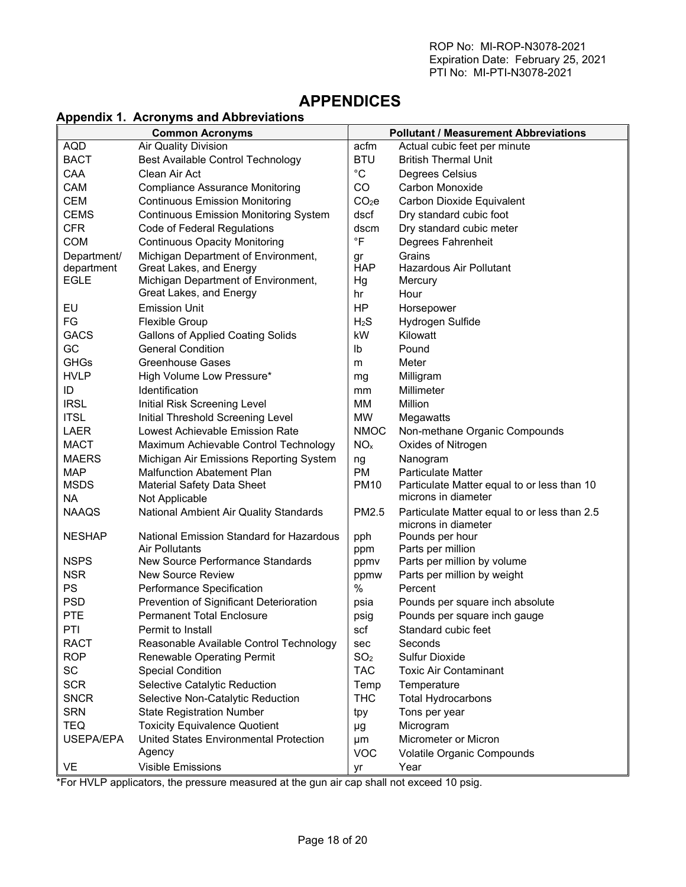# <span id="page-17-0"></span>**APPENDICES**

#### <span id="page-17-1"></span>**Appendix 1. Acronyms and Abbreviations**

| <b>Common Acronyms</b> |                                              | <b>Pollutant / Measurement Abbreviations</b> |                                                                     |
|------------------------|----------------------------------------------|----------------------------------------------|---------------------------------------------------------------------|
| <b>AQD</b>             | <b>Air Quality Division</b>                  | acfm                                         | Actual cubic feet per minute                                        |
| <b>BACT</b>            | <b>Best Available Control Technology</b>     | <b>BTU</b>                                   | <b>British Thermal Unit</b>                                         |
| CAA                    | Clean Air Act                                | $^{\circ}$ C                                 | Degrees Celsius                                                     |
| CAM                    | <b>Compliance Assurance Monitoring</b>       | CO                                           | Carbon Monoxide                                                     |
| <b>CEM</b>             | <b>Continuous Emission Monitoring</b>        | CO <sub>2</sub> e                            | Carbon Dioxide Equivalent                                           |
| <b>CEMS</b>            | <b>Continuous Emission Monitoring System</b> | dscf                                         | Dry standard cubic foot                                             |
| <b>CFR</b>             | Code of Federal Regulations                  | dscm                                         | Dry standard cubic meter                                            |
| <b>COM</b>             | <b>Continuous Opacity Monitoring</b>         | $\degree$ F                                  | Degrees Fahrenheit                                                  |
| Department/            | Michigan Department of Environment,          | gr                                           | Grains                                                              |
| department             | Great Lakes, and Energy                      | <b>HAP</b>                                   | Hazardous Air Pollutant                                             |
| <b>EGLE</b>            | Michigan Department of Environment,          | Hg                                           | Mercury                                                             |
|                        | Great Lakes, and Energy                      | hr                                           | Hour                                                                |
| EU                     | <b>Emission Unit</b>                         | HP                                           | Horsepower                                                          |
| FG                     | <b>Flexible Group</b>                        | H <sub>2</sub> S                             | Hydrogen Sulfide                                                    |
| <b>GACS</b>            | <b>Gallons of Applied Coating Solids</b>     | kW                                           | Kilowatt                                                            |
| GC                     | <b>General Condition</b>                     | lb                                           | Pound                                                               |
| <b>GHGs</b>            | <b>Greenhouse Gases</b>                      | m                                            | Meter                                                               |
| <b>HVLP</b>            | High Volume Low Pressure*                    | mg                                           | Milligram                                                           |
| ID                     | Identification                               | mm                                           | Millimeter                                                          |
| <b>IRSL</b>            | Initial Risk Screening Level                 | MM                                           | Million                                                             |
| <b>ITSL</b>            | Initial Threshold Screening Level            | <b>MW</b>                                    | Megawatts                                                           |
| LAER                   | Lowest Achievable Emission Rate              | <b>NMOC</b>                                  | Non-methane Organic Compounds                                       |
| <b>MACT</b>            | Maximum Achievable Control Technology        | NO <sub>x</sub>                              | Oxides of Nitrogen                                                  |
| <b>MAERS</b>           | Michigan Air Emissions Reporting System      | ng                                           | Nanogram                                                            |
| <b>MAP</b>             | <b>Malfunction Abatement Plan</b>            | <b>PM</b>                                    | <b>Particulate Matter</b>                                           |
| <b>MSDS</b>            | <b>Material Safety Data Sheet</b>            | <b>PM10</b>                                  | Particulate Matter equal to or less than 10                         |
| <b>NA</b>              | Not Applicable                               |                                              | microns in diameter                                                 |
| <b>NAAQS</b>           | National Ambient Air Quality Standards       | PM2.5                                        | Particulate Matter equal to or less than 2.5<br>microns in diameter |
| <b>NESHAP</b>          | National Emission Standard for Hazardous     | pph                                          | Pounds per hour                                                     |
|                        | <b>Air Pollutants</b>                        | ppm                                          | Parts per million                                                   |
| <b>NSPS</b>            | New Source Performance Standards             | ppmy                                         | Parts per million by volume                                         |
| <b>NSR</b>             | <b>New Source Review</b>                     | ppmw                                         | Parts per million by weight                                         |
| PS                     | Performance Specification                    | %                                            | Percent                                                             |
| <b>PSD</b>             | Prevention of Significant Deterioration      | psia                                         | Pounds per square inch absolute                                     |
| PTE                    | <b>Permanent Total Enclosure</b>             | psig                                         | Pounds per square inch gauge                                        |
| PTI                    | Permit to Install                            | scf                                          | Standard cubic feet                                                 |
| <b>RACT</b>            | Reasonable Available Control Technology      | sec                                          | Seconds                                                             |
| <b>ROP</b>             | <b>Renewable Operating Permit</b>            | SO <sub>2</sub>                              | Sulfur Dioxide                                                      |
| SC                     | <b>Special Condition</b>                     | <b>TAC</b>                                   | <b>Toxic Air Contaminant</b>                                        |
| <b>SCR</b>             | Selective Catalytic Reduction                | Temp                                         | Temperature                                                         |
| <b>SNCR</b>            | Selective Non-Catalytic Reduction            | <b>THC</b>                                   | <b>Total Hydrocarbons</b>                                           |
| <b>SRN</b>             | <b>State Registration Number</b>             | tpy                                          | Tons per year                                                       |
| <b>TEQ</b>             | <b>Toxicity Equivalence Quotient</b>         | μg                                           | Microgram                                                           |
| USEPA/EPA              | United States Environmental Protection       | μm                                           | Micrometer or Micron                                                |
|                        | Agency                                       | <b>VOC</b>                                   | Volatile Organic Compounds                                          |
| <b>VE</b>              | <b>Visible Emissions</b>                     | yr                                           | Year                                                                |

\*For HVLP applicators, the pressure measured at the gun air cap shall not exceed 10 psig.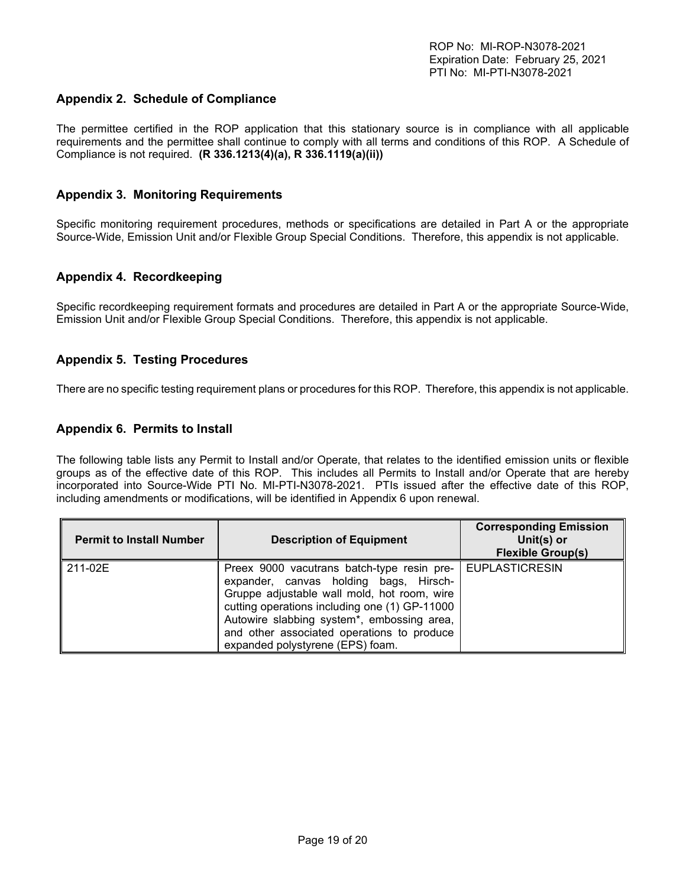#### <span id="page-18-0"></span>**Appendix 2. Schedule of Compliance**

The permittee certified in the ROP application that this stationary source is in compliance with all applicable requirements and the permittee shall continue to comply with all terms and conditions of this ROP. A Schedule of Compliance is not required. **(R 336.1213(4)(a), R 336.1119(a)(ii))**

#### <span id="page-18-1"></span>**Appendix 3. Monitoring Requirements**

Specific monitoring requirement procedures, methods or specifications are detailed in Part A or the appropriate Source-Wide, Emission Unit and/or Flexible Group Special Conditions. Therefore, this appendix is not applicable.

#### <span id="page-18-2"></span>**Appendix 4. Recordkeeping**

Specific recordkeeping requirement formats and procedures are detailed in Part A or the appropriate Source-Wide, Emission Unit and/or Flexible Group Special Conditions. Therefore, this appendix is not applicable.

#### <span id="page-18-3"></span>**Appendix 5. Testing Procedures**

There are no specific testing requirement plans or procedures for this ROP. Therefore, this appendix is not applicable.

#### <span id="page-18-4"></span>**Appendix 6. Permits to Install**

The following table lists any Permit to Install and/or Operate, that relates to the identified emission units or flexible groups as of the effective date of this ROP. This includes all Permits to Install and/or Operate that are hereby incorporated into Source-Wide PTI No. MI-PTI-N3078-2021. PTIs issued after the effective date of this ROP, including amendments or modifications, will be identified in Appendix 6 upon renewal.

| <b>Permit to Install Number</b> | <b>Description of Equipment</b>                                                                                                                                                                                                                                                                                                       | <b>Corresponding Emission</b><br>Unit(s) or<br><b>Flexible Group(s)</b> |
|---------------------------------|---------------------------------------------------------------------------------------------------------------------------------------------------------------------------------------------------------------------------------------------------------------------------------------------------------------------------------------|-------------------------------------------------------------------------|
| 211-02E                         | Preex 9000 vacutrans batch-type resin pre-   EUPLASTICRESIN<br>expander, canvas holding bags, Hirsch-<br>Gruppe adjustable wall mold, hot room, wire<br>cutting operations including one (1) GP-11000<br>Autowire slabbing system*, embossing area,<br>and other associated operations to produce<br>expanded polystyrene (EPS) foam. |                                                                         |